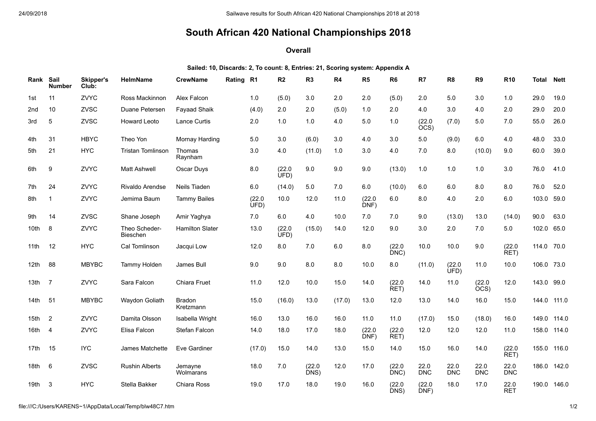## **South African 420 National Championships 2018**

## **Overall**

**Sailed: 10, Discards: 2, To count: 8, Entries: 21, Scoring system: Appendix A**

| Rank             | Sail<br><b>Number</b> | <b>Skipper's</b><br>Club: | HelmName                  | <b>CrewName</b>            | Rating | R1             | R <sub>2</sub> | R <sub>3</sub> | R4     | R <sub>5</sub> | R <sub>6</sub> | R7                 | R <sub>8</sub>     | R <sub>9</sub>     | R <sub>10</sub>    | Total       | <b>Nett</b> |
|------------------|-----------------------|---------------------------|---------------------------|----------------------------|--------|----------------|----------------|----------------|--------|----------------|----------------|--------------------|--------------------|--------------------|--------------------|-------------|-------------|
| 1st              | 11                    | ZVYC                      | Ross Mackinnon            | Alex Falcon                |        | 1.0            | (5.0)          | 3.0            | 2.0    | 2.0            | (5.0)          | 2.0                | 5.0                | 3.0                | 1.0                | 29.0        | 19.0        |
| 2nd              | 10                    | ZVSC                      | Duane Petersen            | <b>Fayaad Shaik</b>        |        | (4.0)          | 2.0            | 2.0            | (5.0)  | 1.0            | 2.0            | 4.0                | 3.0                | 4.0                | 2.0                | 29.0        | 20.0        |
| 3rd              | 5                     | ZVSC                      | <b>Howard Leoto</b>       | <b>Lance Curtis</b>        |        | 2.0            | 1.0            | 1.0            | 4.0    | 5.0            | 1.0            | (22.0)<br>ÒCS)     | (7.0)              | 5.0                | 7.0                | 55.0        | 26.0        |
| 4th              | 31                    | <b>HBYC</b>               | Theo Yon                  | Mornay Harding             |        | 5.0            | 3.0            | (6.0)          | 3.0    | 4.0            | 3.0            | 5.0                | (9.0)              | 6.0                | 4.0                | 48.0        | 33.0        |
| 5th              | 21                    | <b>HYC</b>                | <b>Tristan Tomlinson</b>  | Thomas<br>Raynham          |        | 3.0            | 4.0            | (11.0)         | 1.0    | 3.0            | 4.0            | 7.0                | 8.0                | (10.0)             | 9.0                | 60.0        | 39.0        |
| 6th              | 9                     | ZVYC                      | <b>Matt Ashwell</b>       | Oscar Duys                 |        | 8.0            | (22.0)<br>UFD) | 9.0            | 9.0    | 9.0            | (13.0)         | 1.0                | 1.0                | 1.0                | 3.0                | 76.0        | 41.0        |
| 7th              | 24                    | ZVYC                      | Rivaldo Arendse           | Neils Tiaden               |        | 6.0            | (14.0)         | 5.0            | 7.0    | 6.0            | (10.0)         | 6.0                | 6.0                | 8.0                | 8.0                | 76.0        | 52.0        |
| 8th              | $\mathbf{1}$          | ZVYC                      | Jemima Baum               | <b>Tammy Bailes</b>        |        | (22.0)<br>ÙFD) | 10.0           | 12.0           | 11.0   | (22.0)<br>DNF) | 6.0            | 8.0                | 4.0                | 2.0                | 6.0                | 103.0 59.0  |             |
| 9th              | 14                    | ZVSC                      | Shane Joseph              | Amir Yaghya                |        | 7.0            | 6.0            | 4.0            | 10.0   | 7.0            | 7.0            | 9.0                | (13.0)             | 13.0               | (14.0)             | 90.0        | 63.0        |
| 10th             | 8                     | ZVYC                      | Theo Scheder-<br>Bieschen | <b>Hamilton Slater</b>     |        | 13.0           | (22.0)<br>ÙFD) | (15.0)         | 14.0   | 12.0           | 9.0            | 3.0                | 2.0                | 7.0                | 5.0                | 102.0 65.0  |             |
| 11th             | 12                    | <b>HYC</b>                | Cal Tomlinson             | Jacqui Low                 |        | 12.0           | 8.0            | 7.0            | 6.0    | 8.0            | (22.0)<br>DNC) | 10.0               | 10.0               | 9.0                | (22.0)<br>RET)     | 114.0 70.0  |             |
| 12 <sub>th</sub> | 88                    | <b>MBYBC</b>              | <b>Tammy Holden</b>       | James Bull                 |        | 9.0            | 9.0            | 8.0            | 8.0    | 10.0           | 8.0            | (11.0)             | (22.0)<br>UFD)     | 11.0               | 10.0               | 106.0 73.0  |             |
| 13th             | $\overline{7}$        | ZVYC                      | Sara Falcon               | Chiara Fruet               |        | 11.0           | 12.0           | 10.0           | 15.0   | 14.0           | (22.0)<br>RET) | 14.0               | 11.0               | (22.0)<br>ÒCS)     | 12.0               | 143.0 99.0  |             |
| 14th             | -51                   | <b>MBYBC</b>              | Waydon Goliath            | <b>Bradon</b><br>Kretzmann |        | 15.0           | (16.0)         | 13.0           | (17.0) | 13.0           | 12.0           | 13.0               | 14.0               | 16.0               | 15.0               | 144.0 111.0 |             |
| 15th             | 2                     | ZVYC                      | Damita Olsson             | Isabella Wright            |        | 16.0           | 13.0           | 16.0           | 16.0   | 11.0           | 11.0           | (17.0)             | 15.0               | (18.0)             | 16.0               |             | 149.0 114.0 |
| 16th             | -4                    | ZVYC                      | Elisa Falcon              | Stefan Falcon              |        | 14.0           | 18.0           | 17.0           | 18.0   | (22.0)<br>DNF) | (22.0)<br>RET) | 12.0               | 12.0               | 12.0               | 11.0               | 158.0 114.0 |             |
| 17th             | 15                    | <b>IYC</b>                | James Matchette           | Eve Gardiner               |        | (17.0)         | 15.0           | 14.0           | 13.0   | 15.0           | 14.0           | 15.0               | 16.0               | 14.0               | (22.0)<br>RET)     | 155.0 116.0 |             |
| 18th             | - 6                   | ZVSC                      | <b>Rushin Alberts</b>     | Jemayne<br>Wolmarans       |        | 18.0           | 7.0            | (22.0)<br>DNS) | 12.0   | 17.0           | (22.0)<br>DNC) | 22.0<br><b>DNC</b> | 22.0<br><b>DNC</b> | 22.0<br><b>DNC</b> | 22.0<br><b>DNC</b> |             | 186.0 142.0 |
| 19th             | -3                    | <b>HYC</b>                | Stella Bakker             | Chiara Ross                |        | 19.0           | 17.0           | 18.0           | 19.0   | 16.0           | (22.0)<br>DNS) | (22.0)<br>DNF)     | 18.0               | 17.0               | 22.0<br><b>RET</b> |             | 190.0 146.0 |